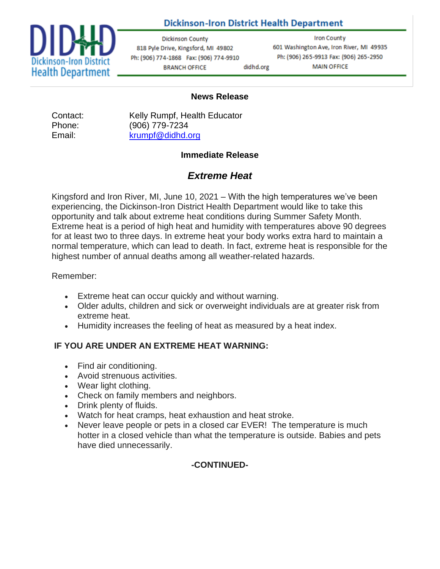## **Dickinson-Iron District Health Department**



**Dickinson County** 818 Pyle Drive, Kingsford, MI 49802 Ph: (906) 774-1868 Fax: (906) 774-9910 **BRANCH OFFICE** didhd.org

**Iron County** 601 Washington Ave, Iron River, MI 49935 Ph: (906) 265-9913 Fax: (906) 265-2950 **MAIN OFFICE** 

#### **News Release**

Phone: (906) 779-7234 Email: [krumpf@didhd.org](about:blank)

Contact: Kelly Rumpf, Health Educator

#### **Immediate Release**

# *Extreme Heat*

Kingsford and Iron River, MI, June 10, 2021 – With the high temperatures we've been experiencing, the Dickinson-Iron District Health Department would like to take this opportunity and talk about extreme heat conditions during Summer Safety Month. Extreme heat is a period of high heat and humidity with temperatures above 90 degrees for at least two to three days. In extreme heat your body works extra hard to maintain a normal temperature, which can lead to death. In fact, extreme heat is responsible for the highest number of annual deaths among all weather-related hazards.

#### Remember:

- Extreme heat can occur quickly and without warning.
- Older adults, children and sick or overweight individuals are at greater risk from extreme heat.
- Humidity increases the feeling of heat as measured by a heat index.

#### **IF YOU ARE UNDER AN EXTREME HEAT WARNING:**

- Find air conditioning.
- Avoid strenuous activities.
- Wear light clothing.
- Check on family members and neighbors.
- Drink plenty of fluids.
- Watch for heat cramps, heat exhaustion and heat stroke.
- Never leave people or pets in a closed car EVER! The temperature is much hotter in a closed vehicle than what the temperature is outside. Babies and pets have died unnecessarily.

## **-CONTINUED-**